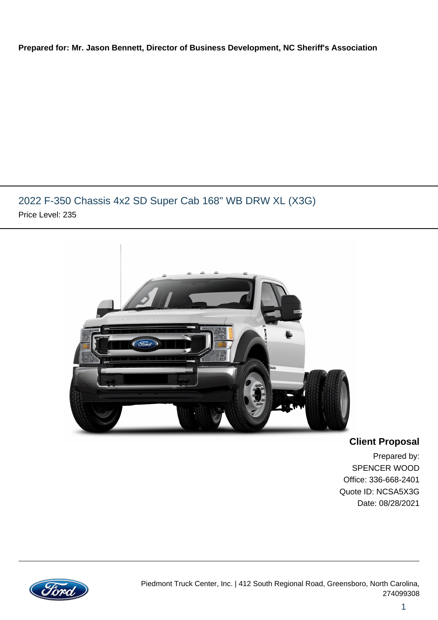#### **Prepared for: Mr. Jason Bennett, Director of Business Development, NC Sheriff's Association**

### 2022 F-350 Chassis 4x2 SD Super Cab 168" WB DRW XL (X3G) Price Level: 235



**Client Proposal**

Prepared by: SPENCER WOOD Office: 336-668-2401 Quote ID: NCSA5X3G Date: 08/28/2021

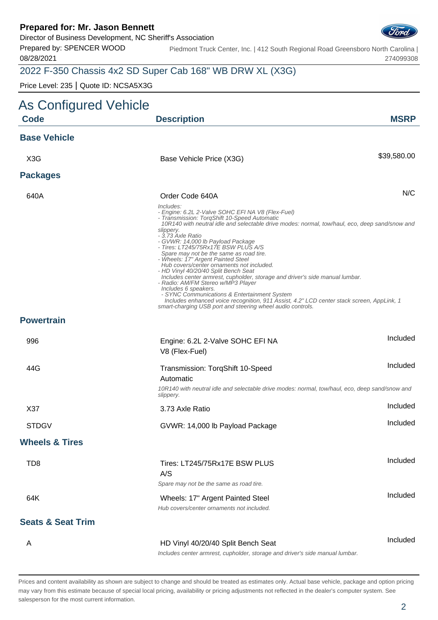Director of Business Development, NC Sheriff's Association

Prepared by: SPENCER WOOD 08/28/2021

Piedmont Truck Center, Inc. | 412 South Regional Road Greensboro North Carolina | 274099308

### 2022 F-350 Chassis 4x2 SD Super Cab 168" WB DRW XL (X3G)

Price Level: 235 | Quote ID: NCSA5X3G

| As Configured Vehicle        |                                                                                                                                                                                                                                                                                                                                                                                                                                                                                                                                                                                                                                                                                                                                                                                                                                                               |             |
|------------------------------|---------------------------------------------------------------------------------------------------------------------------------------------------------------------------------------------------------------------------------------------------------------------------------------------------------------------------------------------------------------------------------------------------------------------------------------------------------------------------------------------------------------------------------------------------------------------------------------------------------------------------------------------------------------------------------------------------------------------------------------------------------------------------------------------------------------------------------------------------------------|-------------|
| <b>Code</b>                  | <b>Description</b>                                                                                                                                                                                                                                                                                                                                                                                                                                                                                                                                                                                                                                                                                                                                                                                                                                            | <b>MSRP</b> |
| <b>Base Vehicle</b>          |                                                                                                                                                                                                                                                                                                                                                                                                                                                                                                                                                                                                                                                                                                                                                                                                                                                               |             |
| X <sub>3</sub> G             | Base Vehicle Price (X3G)                                                                                                                                                                                                                                                                                                                                                                                                                                                                                                                                                                                                                                                                                                                                                                                                                                      | \$39,580.00 |
| <b>Packages</b>              |                                                                                                                                                                                                                                                                                                                                                                                                                                                                                                                                                                                                                                                                                                                                                                                                                                                               |             |
| 640A                         | Order Code 640A                                                                                                                                                                                                                                                                                                                                                                                                                                                                                                                                                                                                                                                                                                                                                                                                                                               | N/C         |
|                              | Includes:<br>- Engine: 6.2L 2-Valve SOHC EFI NA V8 (Flex-Fuel)<br>- Transmission: TorqShift 10-Speed Automatic<br>10R140 with neutral idle and selectable drive modes: normal, tow/haul, eco, deep sand/snow and<br>slippery.<br>- 3.73 Axle Ratio<br>- GVWR: 14,000 lb Payload Package<br>- Tires: LT245/75Rx17E BSW PLUS A/S<br>Spare may not be the same as road tire.<br>- Wheels: 17" Argent Painted Steel<br>Hub covers/center ornaments not included.<br>- HD Vinyl 40/20/40 Split Bench Seat<br>Includes center armrest, cupholder, storage and driver's side manual lumbar.<br>- Radio: AM/FM Stereo w/MP3 Player<br>Includes 6 speakers.<br>- SYNC Communications & Entertainment System<br>Includes enhanced voice recognition, 911 Assist, 4.2" LCD center stack screen, AppLink, 1<br>smart-charging USB port and steering wheel audio controls. |             |
| <b>Powertrain</b>            |                                                                                                                                                                                                                                                                                                                                                                                                                                                                                                                                                                                                                                                                                                                                                                                                                                                               |             |
| 996                          | Engine: 6.2L 2-Valve SOHC EFI NA<br>V8 (Flex-Fuel)                                                                                                                                                                                                                                                                                                                                                                                                                                                                                                                                                                                                                                                                                                                                                                                                            | Included    |
| 44G                          | Transmission: TorqShift 10-Speed<br>Automatic<br>10R140 with neutral idle and selectable drive modes: normal, tow/haul, eco, deep sand/snow and<br>slippery.                                                                                                                                                                                                                                                                                                                                                                                                                                                                                                                                                                                                                                                                                                  | Included    |
| X37                          | 3.73 Axle Ratio                                                                                                                                                                                                                                                                                                                                                                                                                                                                                                                                                                                                                                                                                                                                                                                                                                               | Included    |
| <b>STDGV</b>                 | GVWR: 14,000 lb Payload Package                                                                                                                                                                                                                                                                                                                                                                                                                                                                                                                                                                                                                                                                                                                                                                                                                               | Included    |
| <b>Wheels &amp; Tires</b>    |                                                                                                                                                                                                                                                                                                                                                                                                                                                                                                                                                                                                                                                                                                                                                                                                                                                               |             |
| TD <sub>8</sub>              | Tires: LT245/75Rx17E BSW PLUS<br>A/S<br>Spare may not be the same as road tire.                                                                                                                                                                                                                                                                                                                                                                                                                                                                                                                                                                                                                                                                                                                                                                               | Included    |
| 64K                          | Wheels: 17" Argent Painted Steel<br>Hub covers/center ornaments not included.                                                                                                                                                                                                                                                                                                                                                                                                                                                                                                                                                                                                                                                                                                                                                                                 | Included    |
| <b>Seats &amp; Seat Trim</b> |                                                                                                                                                                                                                                                                                                                                                                                                                                                                                                                                                                                                                                                                                                                                                                                                                                                               |             |
| A                            | HD Vinyl 40/20/40 Split Bench Seat<br>Includes center armrest, cupholder, storage and driver's side manual lumbar.                                                                                                                                                                                                                                                                                                                                                                                                                                                                                                                                                                                                                                                                                                                                            | Included    |

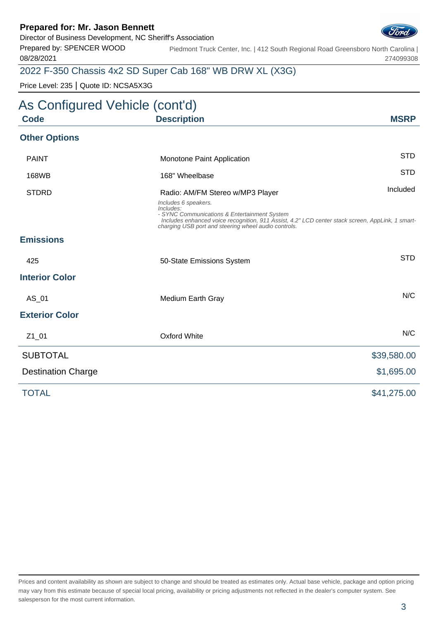Director of Business Development, NC Sheriff's Association

Prepared by: SPENCER WOOD 08/28/2021

Piedmont Truck Center, Inc. | 412 South Regional Road Greensboro North Carolina | 274099308

### 2022 F-350 Chassis 4x2 SD Super Cab 168" WB DRW XL (X3G)

Price Level: 235 | Quote ID: NCSA5X3G

### As Configured Vehicle (cont'd) **Code Description MSRP Other Options** PAINT **Example 20 Intervention** Monotone Paint Application **STD** 168WB 168" Wheelbase STD STDRD **Radio: AM/FM Stereo w/MP3 Player** Included Included Includes 6 speakers. Includes: - SYNC Communications & Entertainment System Includes enhanced voice recognition, 911 Assist, 4.2" LCD center stack screen, AppLink, 1 smartcharging USB port and steering wheel audio controls. **Emissions** 425 **50-State Emissions System** System STD **Interior Color** AS 01 Medium Earth Gray Note 2012 and 2012 MC **Exterior Color** Z1\_01 Oxford White N/C SUBTOTAL \$39,580.00 Destination Charge  $$1,695.00$ TOTAL \$41,275.00

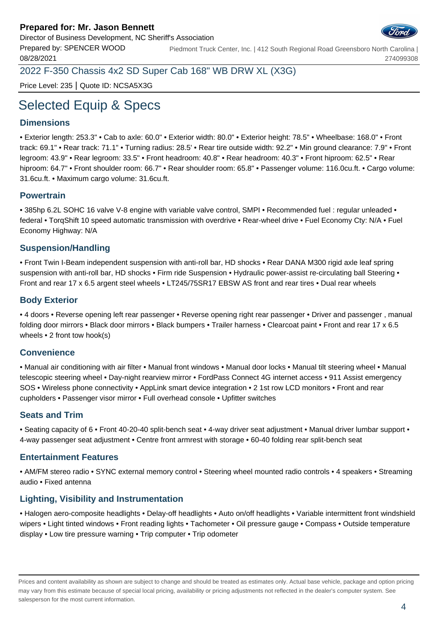

Prepared by: SPENCER WOOD 08/28/2021 Piedmont Truck Center, Inc. | 412 South Regional Road Greensboro North Carolina | 274099308

2022 F-350 Chassis 4x2 SD Super Cab 168" WB DRW XL (X3G)

Price Level: 235 | Quote ID: NCSA5X3G

# Selected Equip & Specs

#### **Dimensions**

• Exterior length: 253.3" • Cab to axle: 60.0" • Exterior width: 80.0" • Exterior height: 78.5" • Wheelbase: 168.0" • Front track: 69.1" • Rear track: 71.1" • Turning radius: 28.5' • Rear tire outside width: 92.2" • Min ground clearance: 7.9" • Front legroom: 43.9" • Rear legroom: 33.5" • Front headroom: 40.8" • Rear headroom: 40.3" • Front hiproom: 62.5" • Rear hiproom: 64.7" • Front shoulder room: 66.7" • Rear shoulder room: 65.8" • Passenger volume: 116.0cu.ft. • Cargo volume: 31.6cu.ft. • Maximum cargo volume: 31.6cu.ft.

#### **Powertrain**

• 385hp 6.2L SOHC 16 valve V-8 engine with variable valve control, SMPI • Recommended fuel : regular unleaded • federal • TorqShift 10 speed automatic transmission with overdrive • Rear-wheel drive • Fuel Economy Cty: N/A • Fuel Economy Highway: N/A

#### **Suspension/Handling**

• Front Twin I-Beam independent suspension with anti-roll bar, HD shocks • Rear DANA M300 rigid axle leaf spring suspension with anti-roll bar, HD shocks • Firm ride Suspension • Hydraulic power-assist re-circulating ball Steering • Front and rear 17 x 6.5 argent steel wheels • LT245/75SR17 EBSW AS front and rear tires • Dual rear wheels

#### **Body Exterior**

• 4 doors • Reverse opening left rear passenger • Reverse opening right rear passenger • Driver and passenger , manual folding door mirrors • Black door mirrors • Black bumpers • Trailer harness • Clearcoat paint • Front and rear 17 x 6.5 wheels • 2 front tow hook(s)

#### **Convenience**

• Manual air conditioning with air filter • Manual front windows • Manual door locks • Manual tilt steering wheel • Manual telescopic steering wheel • Day-night rearview mirror • FordPass Connect 4G internet access • 911 Assist emergency SOS • Wireless phone connectivity • AppLink smart device integration • 2 1st row LCD monitors • Front and rear cupholders • Passenger visor mirror • Full overhead console • Upfitter switches

#### **Seats and Trim**

• Seating capacity of 6 • Front 40-20-40 split-bench seat • 4-way driver seat adjustment • Manual driver lumbar support • 4-way passenger seat adjustment • Centre front armrest with storage • 60-40 folding rear split-bench seat

#### **Entertainment Features**

• AM/FM stereo radio • SYNC external memory control • Steering wheel mounted radio controls • 4 speakers • Streaming audio • Fixed antenna

#### **Lighting, Visibility and Instrumentation**

• Halogen aero-composite headlights • Delay-off headlights • Auto on/off headlights • Variable intermittent front windshield wipers • Light tinted windows • Front reading lights • Tachometer • Oil pressure gauge • Compass • Outside temperature display • Low tire pressure warning • Trip computer • Trip odometer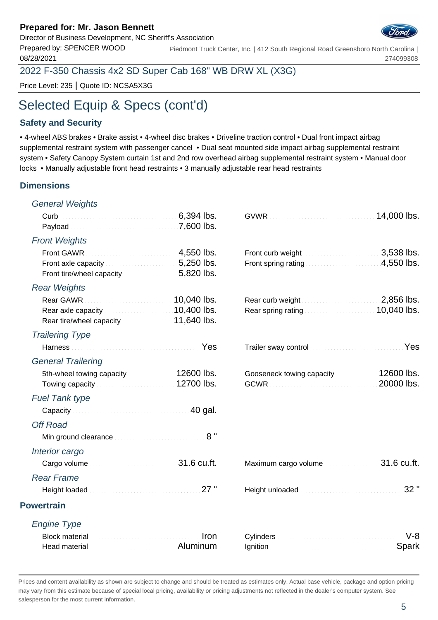Director of Business Development, NC Sheriff's Association

Prepared by: SPENCER WOOD 08/28/2021 Piedmont Truck Center, Inc. | 412 South Regional Road Greensboro North Carolina |

2022 F-350 Chassis 4x2 SD Super Cab 168" WB DRW XL (X3G)

Price Level: 235 | Quote ID: NCSA5X3G

## Selected Equip & Specs (cont'd)

#### **Safety and Security**

• 4-wheel ABS brakes • Brake assist • 4-wheel disc brakes • Driveline traction control • Dual front impact airbag supplemental restraint system with passenger cancel • Dual seat mounted side impact airbag supplemental restraint system • Safety Canopy System curtain 1st and 2nd row overhead airbag supplemental restraint system • Manual door locks • Manually adjustable front head restraints • 3 manually adjustable rear head restraints

#### **Dimensions**

| <b>General Weights</b>                                                                                                 |                                                                                                                  |
|------------------------------------------------------------------------------------------------------------------------|------------------------------------------------------------------------------------------------------------------|
| Payload <b>Continuing the Contract of Contract Payload Contract Contract Payload</b>                                   | 14,000 lbs.                                                                                                      |
| <b>Front Weights</b>                                                                                                   |                                                                                                                  |
| Front axle capacity <b>Exercise 2008</b> . 5,250 lbs.                                                                  | 3,538 lbs.<br>Front spring rating <b>Exercise 2008</b> Lines 2009 A,550 lbs.                                     |
| <b>Rear Weights</b>                                                                                                    |                                                                                                                  |
| 10,040 lbs.<br>Rear axle capacity <b>Constitution 10,400 lbs.</b><br>Rear tire/wheel capacity 11,640 lbs.              | Rear curb weight <b>Exercised Services</b> 2,856 lbs.<br>Rear spring rating <b>Election Contract 10,040 lbs.</b> |
| <b>Trailering Type</b>                                                                                                 |                                                                                                                  |
| Harness <b>Market Barnett Allen Barnett Barnett Barnett</b> Pes                                                        | Trailer sway control <b>Constitution Constitution</b> Yes                                                        |
| <b>General Trailering</b>                                                                                              |                                                                                                                  |
| 5th-wheel towing capacity 12600 lbs.<br>Towing capacity <b>Constitution Constructs</b> 12700 lbs.                      | Gooseneck towing capacity 12600 lbs.<br>20000 lbs.                                                               |
| <b>Fuel Tank type</b>                                                                                                  |                                                                                                                  |
| Capacity Capacity Capacity Committee Capacity Capacity Capacity Capacity Capacity Capacity Capacity Capacity C         |                                                                                                                  |
| <b>Off Road</b>                                                                                                        |                                                                                                                  |
| 8"<br>Min ground clearance manufacturers and containing                                                                |                                                                                                                  |
| Interior cargo                                                                                                         |                                                                                                                  |
| Cargo volume contracts and a series of 31.6 cu.ft.                                                                     | 31.6 cu.ft.<br>Maximum cargo volume                                                                              |
| <b>Rear Frame</b>                                                                                                      |                                                                                                                  |
| 27"                                                                                                                    | 32 "                                                                                                             |
| <b>Powertrain</b>                                                                                                      |                                                                                                                  |
| <b>Engine Type</b>                                                                                                     |                                                                                                                  |
| Iron<br>Block material communications and continuously<br>Head material <b>Committee Committee Committee Committee</b> | $V-8$<br>Spark                                                                                                   |
|                                                                                                                        |                                                                                                                  |

Prices and content availability as shown are subject to change and should be treated as estimates only. Actual base vehicle, package and option pricing may vary from this estimate because of special local pricing, availability or pricing adjustments not reflected in the dealer's computer system. See salesperson for the most current information.



274099308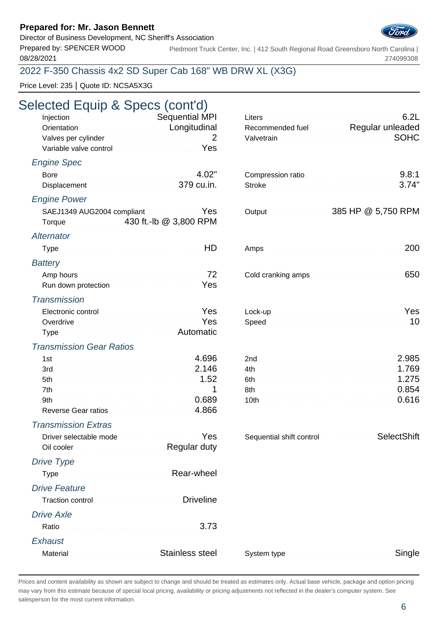Director of Business Development, NC Sheriff's Association

08/28/2021

Prepared by: SPENCER WOOD Piedmont Truck Center, Inc. | 412 South Regional Road Greensboro North Carolina | 274099308

#### 2022 F-350 Chassis 4x2 SD Super Cab 168" WB DRW XL (X3G)

Price Level: 235 | Quote ID: NCSA5X3G

### Selected Equip & Specs (cont'd)

| Injection <b>Committee Committee Committee Committee Committee Committee Committee Committee Committee Committee</b> |  |                                   |
|----------------------------------------------------------------------------------------------------------------------|--|-----------------------------------|
| Orientation <b>Construction</b> Conditudinal                                                                         |  | Recommended fuel Regular unleaded |
| Valves per cylinder <i>manufacturers</i> and the 2                                                                   |  | Valvetrain SOHC                   |
| Variable valve control entertainment of the Yes                                                                      |  |                                   |

#### Engine Spec

| 4.02"                                                                               | Compression ratio |                      |
|-------------------------------------------------------------------------------------|-------------------|----------------------|
| Displacement 379 cu.in.                                                             | Stroke 3.74"      |                      |
| <b>Engine Power</b>                                                                 |                   |                      |
| SAEJ1349 AUG2004 compliant Material Manuscript Yes<br>Torque 430 ft.-Ib @ 3,800 RPM |                   |                      |
| Alternator                                                                          |                   |                      |
|                                                                                     |                   | . 200                |
| <b>Battery</b>                                                                      |                   |                      |
|                                                                                     |                   | $\sim$ $\sim$ $\sim$ |

| Run down protection <b>Election</b> 2008 2009 10:00 Protection 2009 |  |
|---------------------------------------------------------------------|--|

#### **Transmission**

| Electronic control <b>Electronic Control</b>                       |  |  |
|--------------------------------------------------------------------|--|--|
| Overdrive Communication of the communication of the Yes            |  |  |
| Type <b>contract the contract of the contract of the Automatic</b> |  |  |

#### Transmission Gear Ratios

| 3rd  |  |       |
|------|--|-------|
| 5th  |  | 1 ツバト |
|      |  |       |
| .9th |  |       |
|      |  |       |

#### Transmission Extras

| Driver selectable mode                                                               | Sequential shift control SelectShift |  |
|--------------------------------------------------------------------------------------|--------------------------------------|--|
| Oil cooler <b>Commission Cooler Cooler Cooler Cooler</b> Cooler Cooler Cooler Cooler |                                      |  |

#### Drive Type

|                   | Type measured and Rear-wheel                                                                                                                                                                                                        |
|-------------------|-------------------------------------------------------------------------------------------------------------------------------------------------------------------------------------------------------------------------------------|
| Drive Feature     |                                                                                                                                                                                                                                     |
|                   | Traction control <b>Control Control Control Control</b> Driveline                                                                                                                                                                   |
| <b>Drive Axle</b> |                                                                                                                                                                                                                                     |
|                   |                                                                                                                                                                                                                                     |
| Exhaust           |                                                                                                                                                                                                                                     |
|                   | Material <b>Material</b> Material Account Material Material Material Material Material Material Material Material Material Material Material Material Material Material Material Material Material Material Material Material Mater |

| Injection <b>Committee Committee Committee Committee Committee Committee Committee Committee Committee Committee</b><br>Orientation <b>Commission</b> Congitudinal<br>Variable valve control with a substitution of Yes |       | 6.2L<br>Recommended fuel Regular unleaded<br><b>SOHC</b>                                                                                                       |
|-------------------------------------------------------------------------------------------------------------------------------------------------------------------------------------------------------------------------|-------|----------------------------------------------------------------------------------------------------------------------------------------------------------------|
| gine Spec                                                                                                                                                                                                               |       |                                                                                                                                                                |
| Displacement Material Communication 379 cu.in.                                                                                                                                                                          | 4.02" | Compression ratio<br>3.74"                                                                                                                                     |
| gine Power                                                                                                                                                                                                              |       |                                                                                                                                                                |
| SAEJ1349 AUG2004 compliant Material Rules Yes                                                                                                                                                                           |       |                                                                                                                                                                |
| ernator                                                                                                                                                                                                                 |       |                                                                                                                                                                |
|                                                                                                                                                                                                                         | HD    | 200                                                                                                                                                            |
| ttery                                                                                                                                                                                                                   |       |                                                                                                                                                                |
| Run down protection <b>Constitution</b> Construction Construction Pes                                                                                                                                                   |       | 650                                                                                                                                                            |
| ansmission                                                                                                                                                                                                              |       |                                                                                                                                                                |
| Electronic control <b>Electronic Control</b>                                                                                                                                                                            |       |                                                                                                                                                                |
| Type <b>Manual Community Community</b> Automatic                                                                                                                                                                        |       |                                                                                                                                                                |
| ansmission Gear Ratios                                                                                                                                                                                                  |       |                                                                                                                                                                |
|                                                                                                                                                                                                                         |       |                                                                                                                                                                |
|                                                                                                                                                                                                                         |       |                                                                                                                                                                |
|                                                                                                                                                                                                                         |       |                                                                                                                                                                |
|                                                                                                                                                                                                                         |       | 8th 8th <b>8th 8th 8th 8th 8th 8th 8th 8th 8th 8th 8th 8th 8th 8th 8th 8th 8th 8th 8th 8th 8th 8th 8th 8th 8th 8th 8th 8th 8th 8th 8th 8th 8th 8th 8th 8th</b> |
|                                                                                                                                                                                                                         |       | 10th 0.616                                                                                                                                                     |

| Sequential shift control | SelectShift |
|--------------------------|-------------|
|--------------------------|-------------|

| System type <b>Manual Community Community</b> Single |  |
|------------------------------------------------------|--|
|------------------------------------------------------|--|

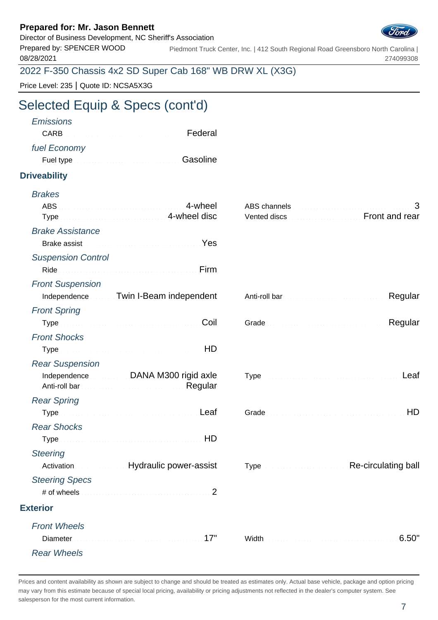Director of Business Development, NC Sheriff's Association



Prepared by: SPENCER WOOD 08/28/2021 Piedmont Truck Center, Inc. | 412 South Regional Road Greensboro North Carolina | 274099308

2022 F-350 Chassis 4x2 SD Super Cab 168" WB DRW XL (X3G)

Price Level: 235 | Quote ID: NCSA5X3G

# Selected Equip & Specs (cont'd)

| <b>Emissions</b>                                                                                                                                                                                                                     |  |
|--------------------------------------------------------------------------------------------------------------------------------------------------------------------------------------------------------------------------------------|--|
| CARB <b>CARB CARB</b>                                                                                                                                                                                                                |  |
| fuel Economy                                                                                                                                                                                                                         |  |
| Fuel type <b>Executive Contract Contract Contract Contract Contract Contract Contract Contract Contract Contract Contract Contract Contract Contract Contract Contract Contract Contract Contract Contract Contract Contract Con</b> |  |
|                                                                                                                                                                                                                                      |  |

#### **Driveability**

| <b>Brakes</b>                                                                                                                                                                                                                  |                                                  |
|--------------------------------------------------------------------------------------------------------------------------------------------------------------------------------------------------------------------------------|--------------------------------------------------|
| <b>ABS</b>                                                                                                                                                                                                                     |                                                  |
| Type <b>Type Type Type Type Type Type Type Type Type Type Type Type Type Type Type Type Type Type Type Type Type Type Type Type Type Type Type Type Type Type Type</b>                                                         | Vented discs <b>Manufacturers</b> Front and rear |
| <b>Brake Assistance</b>                                                                                                                                                                                                        |                                                  |
| Brake assist Material Account of the Message of the Message of the Message of the Message of the Message of the Message of the Message of the Message of the Message of the Message of the Message of the Message of the Messa |                                                  |
| <b>Suspension Control</b>                                                                                                                                                                                                      |                                                  |
|                                                                                                                                                                                                                                |                                                  |
| <b>Front Suspension</b>                                                                                                                                                                                                        |                                                  |
| Independence Twin I-Beam independent                                                                                                                                                                                           | Regular                                          |
| <b>Front Spring</b>                                                                                                                                                                                                            |                                                  |
| Coil                                                                                                                                                                                                                           | Regular                                          |
| <b>Front Shocks</b>                                                                                                                                                                                                            |                                                  |
|                                                                                                                                                                                                                                |                                                  |
| <b>Rear Suspension</b>                                                                                                                                                                                                         |                                                  |
| Independence DANA M300 rigid axle                                                                                                                                                                                              | Leaf                                             |
| <b>Rear Spring</b>                                                                                                                                                                                                             |                                                  |
|                                                                                                                                                                                                                                | HD                                               |
| <b>Rear Shocks</b>                                                                                                                                                                                                             |                                                  |
| Type HD                                                                                                                                                                                                                        |                                                  |
| <b>Steering</b>                                                                                                                                                                                                                |                                                  |
| Activation Muslim Mydraulic power-assist                                                                                                                                                                                       | Type Re-circulating ball                         |
| <b>Steering Specs</b>                                                                                                                                                                                                          |                                                  |
|                                                                                                                                                                                                                                |                                                  |
| <b>Exterior</b>                                                                                                                                                                                                                |                                                  |
| <b>Front Wheels</b>                                                                                                                                                                                                            |                                                  |
|                                                                                                                                                                                                                                | 6.50"                                            |
| <b>Rear Wheels</b>                                                                                                                                                                                                             |                                                  |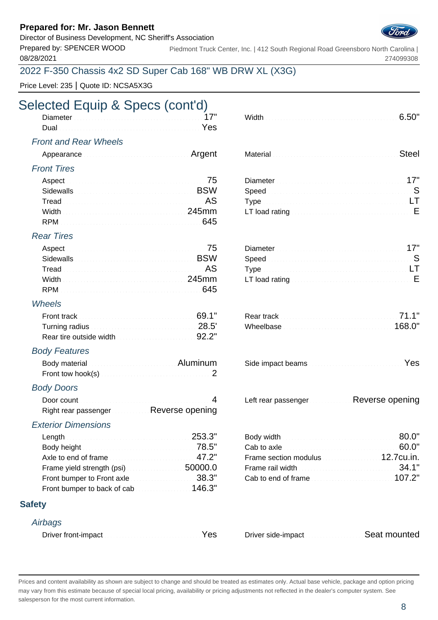Director of Business Development, NC Sheriff's Association

Prepared by: SPENCER WOOD 08/28/2021

Piedmont Truck Center, Inc. | 412 South Regional Road Greensboro North Carolina | 274099308

### 2022 F-350 Chassis 4x2 SD Super Cab 168" WB DRW XL (X3G)

Price Level: 235 | Quote ID: NCSA5X3G

# Selected Equip & Specs (cont'd)

| <u> 1988 - Januar Start, Amerikaansk kanton (</u><br>- Dual |  |
|-------------------------------------------------------------|--|
|                                                             |  |

#### Front and Rear Wheels

#### Front Tires

| Aspect 25 Aspect 2014 19:00 10:00 10:00 10:00 10:00 10:00 10:00 10:00 10:00 10:00 10:00 10:00 10:00 10:00 10:00 10:00 10:00 10:00 10:00 10:00 10:00 10:00 10:00 10:00 10:00 10:00 10:00 10:00 10:00 10:00 10:00 10:00 10:00 10          | Diameter 17"                                                                                                                                                                                                                   |  |
|-----------------------------------------------------------------------------------------------------------------------------------------------------------------------------------------------------------------------------------------|--------------------------------------------------------------------------------------------------------------------------------------------------------------------------------------------------------------------------------|--|
| Sidewalls <b>EXECUTE:</b> Sidewalls <b>EXECUTE:</b> EXECUTE: EXECUTE: EXECUTE: EXECUTE: EXECUTE: EXECUTE: EXECUTE: EXECUTE: EXECUTE: EXECUTE: EXECUTE: EXECUTE: EXECUTE: EXECUTE: EXECUTE: EXECUTE: EXECUTE: EXECUTE: EXECUTE: EXECUTE: |                                                                                                                                                                                                                                |  |
| Tread New York (2014) AS A State of the Contract of the Contract of the Contract of the Contract of the Contract of the Contract of the Contract of the Contract of the Contract of the Contract of the Contract of the Contra          |                                                                                                                                                                                                                                |  |
|                                                                                                                                                                                                                                         | Width Mathematic Material Commercial Commercial Commercial Communications Communications Communications Communications Communications Communications Communications Communications Communications Communications Communication |  |
|                                                                                                                                                                                                                                         |                                                                                                                                                                                                                                |  |

#### Rear Tires

| Aspect 25 Aspect 20 Aspect 20 Aspect 20 Aspect 20 Aspect 20 Assembly 20 Assembly 20 Assembly 20 Assembly 20 Assembly 20 Assembly 20 Assembly 20 Assembly 20 Assembly 20 Assembly 20 Assembly 20 Assembly 20 Assembly 20 Assemb |                                                                                                                          |  |
|--------------------------------------------------------------------------------------------------------------------------------------------------------------------------------------------------------------------------------|--------------------------------------------------------------------------------------------------------------------------|--|
| Sidewalls <b>Example 2018</b> Sidewalls <b>EXAMPLE</b>                                                                                                                                                                         |                                                                                                                          |  |
|                                                                                                                                                                                                                                |                                                                                                                          |  |
|                                                                                                                                                                                                                                | Width $\ldots$ is a set of contact the control of $245mm$ LT load rating $\ldots$ is a set of contact the control of $E$ |  |
|                                                                                                                                                                                                                                |                                                                                                                          |  |

#### Wheels

|                                                                          | Rear track <b>Material Contract of Tanach Rear</b> track of the Material Contract of T1.1" |        |
|--------------------------------------------------------------------------|--------------------------------------------------------------------------------------------|--------|
|                                                                          |                                                                                            | 168.0" |
| Rear tire outside width <b>Community Contract to the State of S2.2</b> " |                                                                                            |        |

#### Body Features

| Body material <b>Committee Committee Committee Committee Committee Committee Committee Committee Committee Committee</b> |  |
|--------------------------------------------------------------------------------------------------------------------------|--|
| Front tow hook(s) 2                                                                                                      |  |

#### Body Doors

| Right rear passenger Reverse opening |  |
|--------------------------------------|--|

#### Exterior Dimensions

| Length 253.3"                                            |  |
|----------------------------------------------------------|--|
| Body height Material Communication of T8.5"              |  |
| Axle to end of frame                                     |  |
| Frame yield strength (psi) [19] Solomon SOOOO.O          |  |
| Front bumper to Front axle <b>Election Contains 28.3</b> |  |
| Front bumper to back of cab <b>contract 146.3</b>        |  |

#### **Safety**

#### **Airbags**

| Driver front-impact New Yes |  |
|-----------------------------|--|
|-----------------------------|--|

| -<br>Did |  |  |
|----------|--|--|
| -        |  |  |

| Material Material Account of the Steel Steel Steel |  |
|----------------------------------------------------|--|
|----------------------------------------------------|--|

| Diameter Manual Manual Manual Manual Manual Manual 17"                                                                                                                                                                        |  |
|-------------------------------------------------------------------------------------------------------------------------------------------------------------------------------------------------------------------------------|--|
| Speed Speed Speed Speed Speed Speed Speed Speed Speed Speed Speed Speed Speed Speed Speed Speed Speed Speed Speed Speed Speed Speed Speed Speed Speed Speed Speed Speed Speed Speed Speed Speed Speed Speed Speed Speed Speed |  |
|                                                                                                                                                                                                                               |  |
|                                                                                                                                                                                                                               |  |

| Diameter Manual Communication of the UT"                                           |  |
|------------------------------------------------------------------------------------|--|
|                                                                                    |  |
|                                                                                    |  |
| LT load rating $\frac{1}{2}$ . Express the contract of the contract of $\mathsf F$ |  |

|  | Side impact beams |  |
|--|-------------------|--|
|  |                   |  |

Left rear passenger Reverse opening

|                                                            | Body width <b>Exercise Contract Contract of SO.O"</b>                                                                                                                                                                                                                                                                                    |  |
|------------------------------------------------------------|------------------------------------------------------------------------------------------------------------------------------------------------------------------------------------------------------------------------------------------------------------------------------------------------------------------------------------------|--|
|                                                            | Cab to axle <b>Cab</b> to axle <b>Cab</b> to axle <b>CAB</b> and <b>CAB</b> and <b>CAB</b> and <b>CAB</b> and <b>CAB</b> and <b>CAB</b> and <b>CAB</b> and <b>CAB</b> and <b>CAB</b> and <b>CAB</b> and <b>CAB</b> and <b>CAB</b> and <b>CAB</b> and <b>CAB</b> and <b>CAB</b> and <b>CAB</b> and <b>CAB</b> and <b>CAB</b> and <b>C</b> |  |
| Axle to end of frame $\sim 47.2"$                          | Frame section modulus 12.7cu.in.                                                                                                                                                                                                                                                                                                         |  |
| Frame yield strength (psi) $\ldots$ . The set of $50000.0$ |                                                                                                                                                                                                                                                                                                                                          |  |
| Front bumper to Front axle $\ldots$ . The set of $38.3"$   | Cab to end of frame                                                                                                                                                                                                                                                                                                                      |  |

Driver side-impact Seat mounted

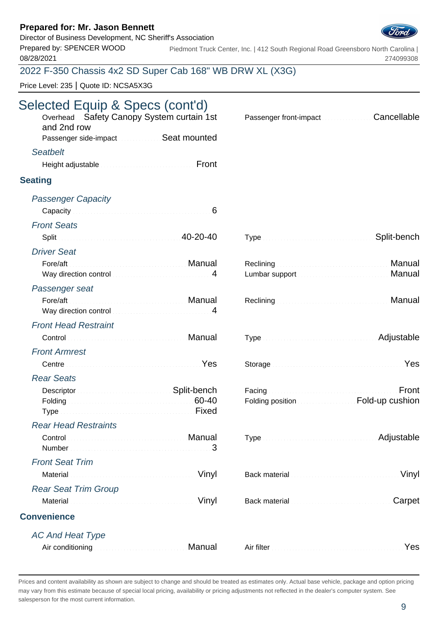### Director of Business Development, NC Sheriff's Association



Prepared by: SPENCER WOOD 08/28/2021 Piedmont Truck Center, Inc. | 412 South Regional Road Greensboro North Carolina | 274099308

### 2022 F-350 Chassis 4x2 SD Super Cab 168" WB DRW XL (X3G)

Price Level: 235 | Quote ID: NCSA5X3G

# Selected Equip & Specs (cont'd)

| Overhead Safety Canopy System curtain 1st<br>and 2nd row<br>Passenger side-impact Seat mounted                                                                                                                                       | Cancellable<br>Passenger front-impact <b>Communist Passenger</b> |
|--------------------------------------------------------------------------------------------------------------------------------------------------------------------------------------------------------------------------------------|------------------------------------------------------------------|
| <b>Seatbelt</b>                                                                                                                                                                                                                      |                                                                  |
| Height adjustable <b>Expansion Communist Prompt</b>                                                                                                                                                                                  |                                                                  |
|                                                                                                                                                                                                                                      |                                                                  |
| <b>Seating</b>                                                                                                                                                                                                                       |                                                                  |
| <b>Passenger Capacity</b>                                                                                                                                                                                                            |                                                                  |
| Capacity and continuum and continuum and continuum of $6$                                                                                                                                                                            |                                                                  |
| <b>Front Seats</b>                                                                                                                                                                                                                   |                                                                  |
| Split 20-20-40                                                                                                                                                                                                                       | Split-bench                                                      |
| <b>Driver Seat</b>                                                                                                                                                                                                                   |                                                                  |
| Fore/aft Manual Manual Manual Manual Manual                                                                                                                                                                                          | Manual                                                           |
| Way direction control manufactured and 14                                                                                                                                                                                            | Manual                                                           |
| Passenger seat                                                                                                                                                                                                                       |                                                                  |
| Way direction control measurements and the 4                                                                                                                                                                                         | Manual                                                           |
| <b>Front Head Restraint</b>                                                                                                                                                                                                          |                                                                  |
| Control <b>Control Control</b>                                                                                                                                                                                                       | Type Manual Communication and Adjustable                         |
| <b>Front Armrest</b>                                                                                                                                                                                                                 |                                                                  |
| Centre <b>Contract Contract Contract Contract Contract Contract Contract Contract Contract Contract Contract Contract Contract Contract Contract Contract Contract Contract Contract Contract Contract Contract Contract Contrac</b> | Storage Manual Communication of the Yes                          |
| <b>Rear Seats</b>                                                                                                                                                                                                                    |                                                                  |
| Descriptor <b>Constitution Constitution</b> Split-bench                                                                                                                                                                              | Facing <b>Executive Communities</b><br>Front                     |
| Folding 60-40                                                                                                                                                                                                                        | Folding position <b>EDIMENT COLLECT</b> Fold-up cushion          |
|                                                                                                                                                                                                                                      |                                                                  |
| <b>Rear Head Restraints</b>                                                                                                                                                                                                          |                                                                  |
| Control Control Control Control Control Control Control Control Control Control Control Control Control Control Control Control Control Control Control Control Control Control Control Control Control Control Control Contro       | Adjustable                                                       |
| 3<br>Number                                                                                                                                                                                                                          |                                                                  |
| <b>Front Seat Trim</b>                                                                                                                                                                                                               |                                                                  |
| Vinyl<br>Material                                                                                                                                                                                                                    | Vinyl<br>Back material communications and continued              |
| <b>Rear Seat Trim Group</b>                                                                                                                                                                                                          |                                                                  |
| Vinyl<br>Material                                                                                                                                                                                                                    | Carpet                                                           |
| <b>Convenience</b>                                                                                                                                                                                                                   |                                                                  |
| <b>AC And Heat Type</b>                                                                                                                                                                                                              |                                                                  |
| Manual<br>Air conditioning and conditioning and contained a state of the state of the state of the state of the state of                                                                                                             | Yes                                                              |
|                                                                                                                                                                                                                                      |                                                                  |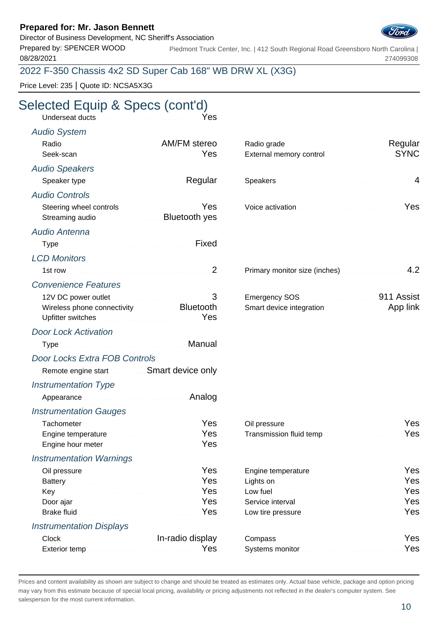Director of Business Development, NC Sheriff's Association

Prepared by: SPENCER WOOD 08/28/2021

Piedmont Truck Center, Inc. | 412 South Regional Road Greensboro North Carolina | 274099308

### 2022 F-350 Chassis 4x2 SD Super Cab 168" WB DRW XL (X3G)

Price Level: 235 | Quote ID: NCSA5X3G

# Selected Equip & Specs (cont'd)

| Underseat ducts <b>Constitution Constitution</b> Pes                                                                                                                                                                                                                                                                                                            |        |                                                                                                                                                                                                                                                                                                  |             |
|-----------------------------------------------------------------------------------------------------------------------------------------------------------------------------------------------------------------------------------------------------------------------------------------------------------------------------------------------------------------|--------|--------------------------------------------------------------------------------------------------------------------------------------------------------------------------------------------------------------------------------------------------------------------------------------------------|-------------|
| <b>Audio System</b>                                                                                                                                                                                                                                                                                                                                             |        |                                                                                                                                                                                                                                                                                                  |             |
| Radio Radio Antonio AM/FM stereo                                                                                                                                                                                                                                                                                                                                | Yes    | Radio grade <b>Material Contract Contract Property</b> Regular<br>External memory control memorial control and the state of the state of the state of the state of the state of the state of the state of the state of the state of the state of the state of the state of the state of the stat | <b>SYNC</b> |
| <b>Audio Speakers</b>                                                                                                                                                                                                                                                                                                                                           |        |                                                                                                                                                                                                                                                                                                  |             |
| Speaker type <b>Speaker</b> type <b>Speaker</b> type <b>Speaker</b> type <b>Speaker</b> type <b>Speaker</b> type <b>Speaker Speaker Speaker Speaker Speaker Speaker Speaker Speaker Speaker Speaker Speaker Speaker Speaker Spe</b>                                                                                                                             |        | Speakers 1999 and 1999 and 1999 and 1999 and 1999 and 1999 and 1999 and 1999 and 1999 and 1999 and 1999 and 19                                                                                                                                                                                   |             |
| <b>Audio Controls</b>                                                                                                                                                                                                                                                                                                                                           |        |                                                                                                                                                                                                                                                                                                  |             |
| Steering wheel controls <b>Controls</b> and the control of the state of the state of the state of the state of the state of the state of the state of the state of the state of the state of the state of the state of the state of<br>Streaming audio                                                                                                          | Yes    | Voice activation Material Contract of the Ves                                                                                                                                                                                                                                                    |             |
| Audio Antenna                                                                                                                                                                                                                                                                                                                                                   |        |                                                                                                                                                                                                                                                                                                  |             |
| Type Manual Communication of Tixed                                                                                                                                                                                                                                                                                                                              |        |                                                                                                                                                                                                                                                                                                  |             |
| <b>LCD Monitors</b>                                                                                                                                                                                                                                                                                                                                             |        |                                                                                                                                                                                                                                                                                                  |             |
|                                                                                                                                                                                                                                                                                                                                                                 |        | Primary monitor size (inches) Manuscriptus 4.2                                                                                                                                                                                                                                                   |             |
| <b>Convenience Features</b>                                                                                                                                                                                                                                                                                                                                     |        |                                                                                                                                                                                                                                                                                                  |             |
| 12V DC power outlet <b>Manual Community Community</b> 3<br>Wireless phone connectivity <b>Example 20 SHOT Bluetooth</b><br>Upfitter switches <b>Committee Committee Committee Committee Committee Committee Committee Committee Committee Committee Committee Committee Committee Committee Committee Committee Committee Committee Committee Committee Com</b> |        | Emergency SOS <b>Contract Contract Contract Contract Contract Contract Contract Contract Contract Contract Contract Contract Contract Contract Contract Contract Contract Contract Contract Contract Contract Contract Contract </b><br>Smart device integration <b>Smart device integration</b> |             |
| <b>Door Lock Activation</b>                                                                                                                                                                                                                                                                                                                                     |        |                                                                                                                                                                                                                                                                                                  |             |
| Type Manual Manual Albert Manual Manual                                                                                                                                                                                                                                                                                                                         |        |                                                                                                                                                                                                                                                                                                  |             |
| <b>Door Locks Extra FOB Controls</b>                                                                                                                                                                                                                                                                                                                            |        |                                                                                                                                                                                                                                                                                                  |             |
| Remote engine start <b>SMALL Smart device only</b>                                                                                                                                                                                                                                                                                                              |        |                                                                                                                                                                                                                                                                                                  |             |
| <b>Instrumentation Type</b>                                                                                                                                                                                                                                                                                                                                     |        |                                                                                                                                                                                                                                                                                                  |             |
|                                                                                                                                                                                                                                                                                                                                                                 | Analog |                                                                                                                                                                                                                                                                                                  |             |
| <b>Instrumentation Gauges</b>                                                                                                                                                                                                                                                                                                                                   |        |                                                                                                                                                                                                                                                                                                  |             |
|                                                                                                                                                                                                                                                                                                                                                                 |        | Oil pressure <b>Executive Community</b> Pes                                                                                                                                                                                                                                                      |             |
| Engine temperature <b>Engine Strategie Proprietation</b> Yes                                                                                                                                                                                                                                                                                                    |        | Transmission fluid temp <b>Access 2008</b> 2008 2014                                                                                                                                                                                                                                             |             |
| Engine hour meter <b>Experience and September 2018</b>                                                                                                                                                                                                                                                                                                          | Yes    |                                                                                                                                                                                                                                                                                                  |             |
| <b>Instrumentation Warnings</b>                                                                                                                                                                                                                                                                                                                                 |        |                                                                                                                                                                                                                                                                                                  |             |
|                                                                                                                                                                                                                                                                                                                                                                 | Yes    | Engine temperature <b>Engines and September 2018</b>                                                                                                                                                                                                                                             | Yes         |
| Battery <b>Executive Community</b> Pessian Press, 2014                                                                                                                                                                                                                                                                                                          | Yes    | Lights on <b>Manual Community and Community</b>                                                                                                                                                                                                                                                  | Yes<br>Yes  |
| Key ∴                                                                                                                                                                                                                                                                                                                                                           | Yes    | Low fuel                                                                                                                                                                                                                                                                                         | Yes         |
|                                                                                                                                                                                                                                                                                                                                                                 | Yes    | Low tire pressure communications and containing                                                                                                                                                                                                                                                  | Yes         |
| <b>Instrumentation Displays</b>                                                                                                                                                                                                                                                                                                                                 |        |                                                                                                                                                                                                                                                                                                  |             |

| Clock Clock Clock Clock Clock Clock Clock Clock Clock Clock Clock Clock Clock Clock Clock Clock Clock Clock Clock Clock Clock Clock Clock Clock Clock Clock Clock Clock Clock Clock Clock Clock Clock Clock Clock Clock Clock | Compass <b>Executive Compass</b> (2011) 1994   |  |
|-------------------------------------------------------------------------------------------------------------------------------------------------------------------------------------------------------------------------------|------------------------------------------------|--|
| Exterior temp <b>Exterior Exterior Exterior Exterior EXECUTE:</b>                                                                                                                                                             | Systems monitor <b>Community Community</b> Pes |  |

| Radio grade <b>Material Communication</b> Regular<br>External memory control <b>External</b> SYNC |  |
|---------------------------------------------------------------------------------------------------|--|
| Speakers <b>Experience and Speakers</b> 1999.                                                     |  |

| oice activation with a state of the control of the Vest |  |
|---------------------------------------------------------|--|
|---------------------------------------------------------|--|

| Primary monitor size (inches) <b>Example 2</b> , 2 |  |
|----------------------------------------------------|--|
|----------------------------------------------------|--|

| Emergency SOS            | 911 Assist |
|--------------------------|------------|
| Smart device integration | App link   |

| Oil pressure <b>Commission Commission Commission</b> Yes     |  |
|--------------------------------------------------------------|--|
| Transmission fluid temp <b>Construction Construction</b> Yes |  |

| Engine temperature <b>Engine Strategier Property</b> Fig.        |  |
|------------------------------------------------------------------|--|
| Lights on <b>Executive Contract Contract on the State of Tes</b> |  |
|                                                                  |  |
| Service interval <b>Service Community Service interval</b>       |  |
| Low tire pressure <b>Exercise Exercise Act of Pressure</b> Yes   |  |
| Compass New Yes Compass                                          |  |
| Systems monitor <b>Constitution Constitution</b> Pes             |  |

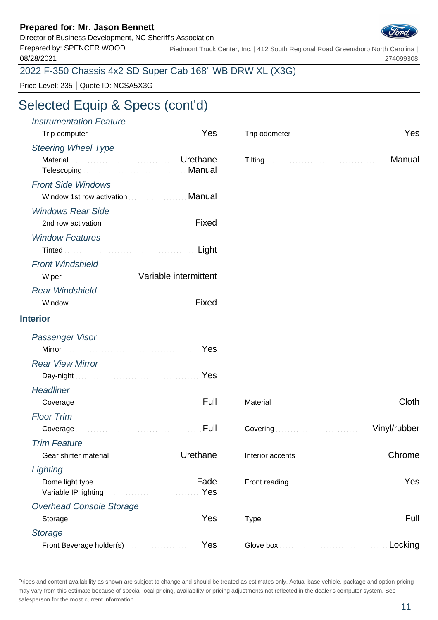Director of Business Development, NC Sheriff's Association Prepared by: SPENCER WOOD

08/28/2021

Piedmont Truck Center, Inc. | 412 South Regional Road Greensboro North Carolina | 274099308

### 2022 F-350 Chassis 4x2 SD Super Cab 168" WB DRW XL (X3G)

Price Level: 235 | Quote ID: NCSA5X3G

## Selected Equip & Specs (cont'd)

| <b>Instrumentation Feature</b><br>Trip computer <b>Executive Computer</b> 1999                                 |          | Trip odometer <b>Executive Contract Contract of Press</b>                                                                                                                                                                           |         |
|----------------------------------------------------------------------------------------------------------------|----------|-------------------------------------------------------------------------------------------------------------------------------------------------------------------------------------------------------------------------------------|---------|
| <b>Steering Wheel Type</b>                                                                                     |          |                                                                                                                                                                                                                                     |         |
| Material <b>Material According to the Contract of Contract According Urethane</b><br>Telescoping <b>Manual</b> |          | Tilting <b>Election Community Community</b> Community Community Community Community Community Community Community Community Community Community Community Community Community Community Community Community Community Community Com |         |
| <b>Front Side Windows</b>                                                                                      |          |                                                                                                                                                                                                                                     |         |
| Window 1st row activation <b>Communist Contract Manual</b>                                                     |          |                                                                                                                                                                                                                                     |         |
| <b>Windows Rear Side</b>                                                                                       |          |                                                                                                                                                                                                                                     |         |
|                                                                                                                | Fixed    |                                                                                                                                                                                                                                     |         |
| <b>Window Features</b>                                                                                         |          |                                                                                                                                                                                                                                     |         |
|                                                                                                                | Light    |                                                                                                                                                                                                                                     |         |
| <b>Front Windshield</b>                                                                                        |          |                                                                                                                                                                                                                                     |         |
| Wiper Wiper Street Management Variable intermittent                                                            |          |                                                                                                                                                                                                                                     |         |
| <b>Rear Windshield</b>                                                                                         |          |                                                                                                                                                                                                                                     |         |
|                                                                                                                | Fixed    |                                                                                                                                                                                                                                     |         |
| <b>Interior</b>                                                                                                |          |                                                                                                                                                                                                                                     |         |
| Passenger Visor                                                                                                |          |                                                                                                                                                                                                                                     |         |
| Mirror Nest Mirror (1999) 1996 Mirror (1999) 1996                                                              |          |                                                                                                                                                                                                                                     |         |
| <b>Rear View Mirror</b>                                                                                        |          |                                                                                                                                                                                                                                     |         |
| Day-night News All Day-night News All Day-night                                                                |          |                                                                                                                                                                                                                                     |         |
| <b>Headliner</b>                                                                                               |          |                                                                                                                                                                                                                                     |         |
| Coverage Manuscriptus and Coverage Manuscriptus Pull                                                           |          |                                                                                                                                                                                                                                     | Cloth   |
| <b>Floor Trim</b>                                                                                              |          |                                                                                                                                                                                                                                     |         |
| Coverage                                                                                                       |          | Covering Continuum Covering Covering Covering Covering Covering Covering Covering Covering Covering Covering Covering Covering Covering Covering Covering Covering Covering Covering Covering Covering Covering Covering Cover      |         |
| <b>Trim Feature</b>                                                                                            |          |                                                                                                                                                                                                                                     |         |
| Gear shifter material material and containing and                                                              | Urethane |                                                                                                                                                                                                                                     | Chrome  |
| Lighting                                                                                                       |          |                                                                                                                                                                                                                                     |         |
| Variable IP lighting Manual Account of the Ves                                                                 | Fade     |                                                                                                                                                                                                                                     | Yes     |
| <b>Overhead Console Storage</b>                                                                                |          |                                                                                                                                                                                                                                     |         |
|                                                                                                                | Yes      |                                                                                                                                                                                                                                     | Full    |
| <b>Storage</b>                                                                                                 |          |                                                                                                                                                                                                                                     |         |
| Front Beverage holder(s) Manual Communication Ves                                                              |          |                                                                                                                                                                                                                                     | Locking |